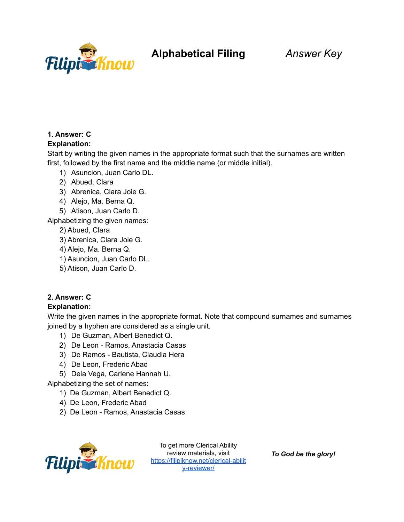

### **1. Answer: C**

#### **Explanation:**

Start by writing the given names in the appropriate format such that the surnames are written first, followed by the first name and the middle name (or middle initial).

- 1) Asuncion, Juan Carlo DL.
- 2) Abued, Clara
- 3) Abrenica, Clara Joie G.
- 4) Alejo, Ma. Berna Q.
- 5) Atison, Juan Carlo D.

Alphabetizing the given names:

- 2) Abued, Clara
- 3) Abrenica, Clara Joie G.
- 4) Alejo, Ma. Berna Q.
- 1) Asuncion, Juan Carlo DL.
- 5) Atison, Juan Carlo D.

#### **2. Answer: C**

#### **Explanation:**

Write the given names in the appropriate format. Note that compound surnames and surnames joined by a hyphen are considered as a single unit.

- 1) De Guzman, Albert Benedict Q.
- 2) De Leon Ramos, Anastacia Casas
- 3) De Ramos Bautista, Claudia Hera
- 4) De Leon, Frederic Abad
- 5) Dela Vega, Carlene Hannah U.

Alphabetizing the set of names:

- 1) De Guzman, Albert Benedict Q.
- 4) De Leon, Frederic Abad
- 2) De Leon Ramos, Anastacia Casas



To get more Clerical Ability review materials, visit [https://filipiknow.net/clerical-abilit](https://filipiknow.net/clerical-ability-reviewer/) [y-reviewer/](https://filipiknow.net/clerical-ability-reviewer/)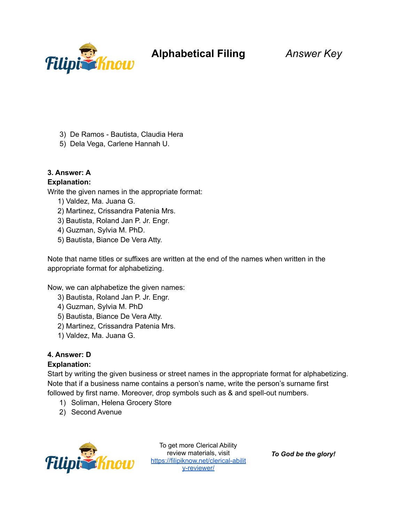

- 3) De Ramos Bautista, Claudia Hera
- 5) Dela Vega, Carlene Hannah U.

#### **3. Answer: A**

#### **Explanation:**

Write the given names in the appropriate format:

- 1) Valdez, Ma. Juana G.
- 2) Martinez, Crissandra Patenia Mrs.
- 3) Bautista, Roland Jan P. Jr. Engr.
- 4) Guzman, Sylvia M. PhD.
- 5) Bautista, Biance De Vera Atty.

Note that name titles or suffixes are written at the end of the names when written in the appropriate format for alphabetizing.

Now, we can alphabetize the given names:

- 3) Bautista, Roland Jan P. Jr. Engr.
- 4) Guzman, Sylvia M. PhD
- 5) Bautista, Biance De Vera Atty.
- 2) Martinez, Crissandra Patenia Mrs.
- 1) Valdez, Ma. Juana G.

#### **4. Answer: D**

#### **Explanation:**

Start by writing the given business or street names in the appropriate format for alphabetizing. Note that if a business name contains a person's name, write the person's surname first followed by first name. Moreover, drop symbols such as & and spell-out numbers.

- 1) Soliman, Helena Grocery Store
- 2) Second Avenue



To get more Clerical Ability review materials, visit [https://filipiknow.net/clerical-abilit](https://filipiknow.net/clerical-ability-reviewer/) [y-reviewer/](https://filipiknow.net/clerical-ability-reviewer/)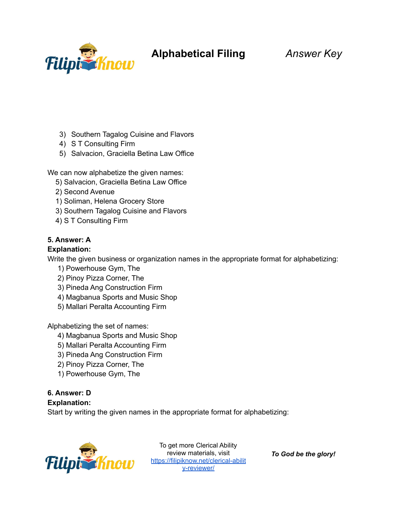

# **Alphabetical Filing** *Answer Key*

- 3) Southern Tagalog Cuisine and Flavors
- 4) S T Consulting Firm
- 5) Salvacion, Graciella Betina Law Office

We can now alphabetize the given names:

- 5) Salvacion, Graciella Betina Law Office
- 2) Second Avenue
- 1) Soliman, Helena Grocery Store
- 3) Southern Tagalog Cuisine and Flavors
- 4) S T Consulting Firm

#### **5. Answer: A**

#### **Explanation:**

Write the given business or organization names in the appropriate format for alphabetizing:

- 1) Powerhouse Gym, The
- 2) Pinoy Pizza Corner, The
- 3) Pineda Ang Construction Firm
- 4) Magbanua Sports and Music Shop
- 5) Mallari Peralta Accounting Firm

Alphabetizing the set of names:

- 4) Magbanua Sports and Music Shop
- 5) Mallari Peralta Accounting Firm
- 3) Pineda Ang Construction Firm
- 2) Pinoy Pizza Corner, The
- 1) Powerhouse Gym, The

## **6. Answer: D**

#### **Explanation:**

Start by writing the given names in the appropriate format for alphabetizing:



To get more Clerical Ability review materials, visit [https://filipiknow.net/clerical-abilit](https://filipiknow.net/clerical-ability-reviewer/) [y-reviewer/](https://filipiknow.net/clerical-ability-reviewer/)